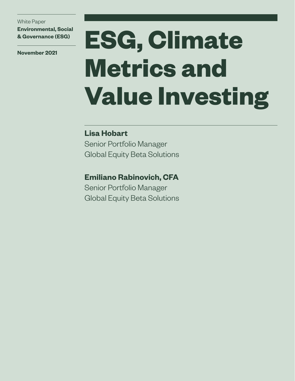White Paper **Environmental, Social & Governance (ESG)**

**November 2021**

# **ESG, Climate Metrics and Value Investing**

### **Lisa Hobart**

Senior Portfolio Manager Global Equity Beta Solutions

**Emiliano Rabinovich, CFA**

Senior Portfolio Manager Global Equity Beta Solutions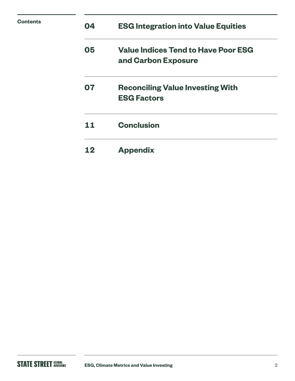| <b>Contents</b> | 04 | <b>ESG Integration into Value Equities</b>                        |
|-----------------|----|-------------------------------------------------------------------|
|                 | 05 | <b>Value Indices Tend to Have Poor ESG</b><br>and Carbon Exposure |
|                 | 07 | <b>Reconciling Value Investing With</b><br><b>ESG Factors</b>     |
|                 | 11 | <b>Conclusion</b>                                                 |
|                 | 12 | <b>Appendix</b>                                                   |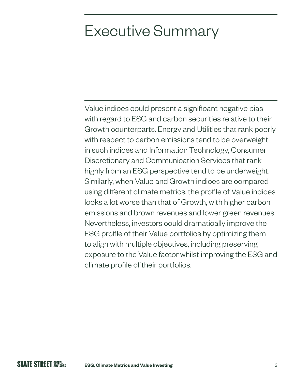### Executive Summary

Value indices could present a significant negative bias with regard to ESG and carbon securities relative to their Growth counterparts. Energy and Utilities that rank poorly with respect to carbon emissions tend to be overweight in such indices and Information Technology, Consumer Discretionary and Communication Services that rank highly from an ESG perspective tend to be underweight. Similarly, when Value and Growth indices are compared using different climate metrics, the profile of Value indices looks a lot worse than that of Growth, with higher carbon emissions and brown revenues and lower green revenues. Nevertheless, investors could dramatically improve the ESG profile of their Value portfolios by optimizing them to align with multiple objectives, including preserving exposure to the Value factor whilst improving the ESG and climate profile of their portfolios.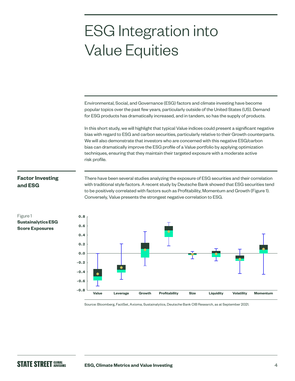### ESG Integration into Value Equities

Environmental, Social, and Governance (ESG) factors and climate investing have become popular topics over the past few years, particularly outside of the United States (US). Demand for ESG products has dramatically increased, and in tandem, so has the supply of products.

In this short study, we will highlight that typical Value indices could present a significant negative bias with regard to ESG and carbon securities, particularly relative to their Growth counterparts. We will also demonstrate that investors who are concerned with this negative ESG/carbon bias can dramatically improve the ESG profile of a Value portfolio by applying optimization techniques, ensuring that they maintain their targeted exposure with a moderate active risk profile.

#### **Factor Investing and ESG**

There have been several studies analyzing the exposure of ESG securities and their correlation with traditional style factors. A recent study by Deutsche Bank showed that ESG securities tend to be positively correlated with factors such as Profitability, Momentum and Growth (Figure 1). Conversely, Value presents the strongest negative correlation to ESG.



Source: Bloomberg, FactSet, Axioma, Sustainalytics, Deutsche Bank CIB Research, as at September 2021.

Figure 1 **Sustainalytics ESG Score Exposures**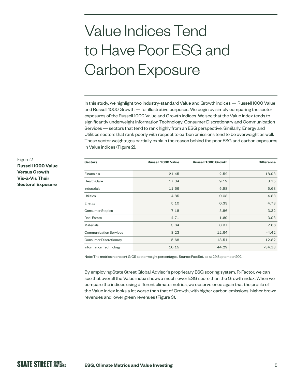# Value Indices Tend to Have Poor ESG and Carbon Exposure

In this study, we highlight two industry-standard Value and Growth indices — Russell 1000 Value and Russell 1000 Growth — for illustrative purposes. We begin by simply comparing the sector exposures of the Russell 1000 Value and Growth indices. We see that the Value index tends to significantly underweight Information Technology, Consumer Discretionary and Communication Services — sectors that tend to rank highly from an ESG perspective. Similarly, Energy and Utilities sectors that rank poorly with respect to carbon emissions tend to be overweight as well. These sector weightages partially explain the reason behind the poor ESG and carbon exposures in Value indices (Figure 2).

| <b>Sectors</b>                | <b>Russell 1000 Value</b> | <b>Russell 1000 Growth</b> | <b>Difference</b> |
|-------------------------------|---------------------------|----------------------------|-------------------|
|                               |                           |                            |                   |
| Financials                    | 21.45                     | 2.52                       | 18.93             |
| <b>Health Care</b>            | 17.34                     | 9.19                       | 8.15              |
| <b>Industrials</b>            | 11.66                     | 5.98                       | 5.68              |
| <b>Utilities</b>              | 4.85                      | 0.03                       | 4.83              |
| Energy                        | 5.10                      | 0.33                       | 4.78              |
| <b>Consumer Staples</b>       | 7.18                      | 3.86                       | 3.32              |
| <b>Real Estate</b>            | 4.71                      | 1.69                       | 3.03              |
| <b>Materials</b>              | 3.64                      | 0.97                       | 2.66              |
| <b>Communication Services</b> | 8.23                      | 12.64                      | $-4.42$           |
| <b>Consumer Discretionary</b> | 5.68                      | 18.51                      | $-12.82$          |
| <b>Information Technology</b> | 10.15                     | 44.29                      | $-34.13$          |

Note: The metrics represent GICS sector weight percentages. Source: FactSet, as at 29 September 2021.

By employing State Street Global Advisor's proprietary ESG scoring system, R-Factor, we can see that overall the Value index shows a much lower ESG score than the Growth index. When we compare the indices using different climate metrics, we observe once again that the profile of the Value index looks a lot worse than that of Growth, with higher carbon emissions, higher brown revenues and lower green revenues (Figure 3).

#### Figure 2 **Russell 1000 Value Versus Growth Vis-à-Vis Their Sectoral Exposure**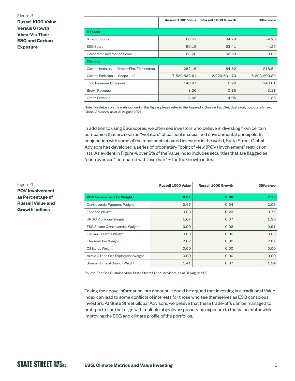Figure 3

**Russel 1000 Value Versus Growth Vis-à-Vis Their ESG and Carbon Exposure** 

|                                               | <b>Russell 1000 Value</b> | <b>Russell 1000 Growth</b> | <b>Difference</b> |
|-----------------------------------------------|---------------------------|----------------------------|-------------------|
| <b>R</b> Factor                               |                           |                            |                   |
| <b>R</b> Factor Score                         | 60.51                     | 64.78                      | $-4.26$           |
| <b>ESG Score</b>                              | 59.15                     | 63.41                      | $-4.25$           |
| Corporate Governance Score                    | 63.60                     | 63.69                      | $-0.09$           |
| <b>Climate</b>                                |                           |                            |                   |
| Carbon Intensity - Direct+First Tier Indirect | 283.16                    | 64.62                      | 218.54            |
| Carbon Emission - Scope 1+2                   | 7,522,832.61              | 2,229,631.73               | 5,293,200.89      |
| <b>Total Reserves Emissions</b>               | 146.97                    | 0.96                       | 146.01            |
| <b>Brown Revenue</b>                          | 3.26                      | 0.15                       | 3.11              |
| Green Revenue                                 | 2.68                      | 4.05                       | $-1.36$           |

Note: For details on the metrics used in this figure, please refer to the Appendix. Source: FactSet, Sustainalytics, State Street Global Advisors, as at 31 August 2021.

In addition to using ESG scores, we often see investors who believe in divesting from certain companies that are seen as "violators" of particular social and environmental principals. In conjunction with some of the most sophisticated investors in the world, State Street Global Advisors has developed a series of proprietary "point of view (POV) involvement" restriction lists. As evident in Figure 4, over 8% of the Value index includes securities that are flagged as "controversies", compared with less than 1% for the Growth index.

|                                       | <b>Russell 1000 Value</b> | <b>Russell 1000 Growth</b> | <b>Difference</b> |
|---------------------------------------|---------------------------|----------------------------|-------------------|
| <b>POV Involvement (% Weight)</b>     | 8.01                      | 0.86                       | 7.15              |
| Controversial Weapons Weight          | 2.57                      | 0.54                       | 2.03              |
| <b>Tobacco Weight</b>                 | 0.98                      | 0.23                       | 0.75              |
| <b>UNGC Violations Weight</b>         | 1.67                      | 0.37                       | 1.30              |
| ESG Severe Controversies Weight       | 0.99                      | 0.02                       | 0.97              |
| Civilian Firearms Weight              | 0.03                      | 0.00                       | 0.03              |
| <b>Thermal Coal Weight</b>            | 2.02                      | 0.00                       | 2.02              |
| Oil Sands Weight                      | 0.00                      | 0.00                       | 0.00              |
| Arctic Oil and Gas Exploration Weight | 0.00                      | 0.00                       | 0.00              |
| Swedish Ethical Council Weight        | 1.41                      | 0.07                       | 1.34              |

Source: FactSet, Sustainalytics, State Street Global Advisors, as at 31 August 2021.

Taking the above information into account, it could be argued that investing in a traditional Value index can lead to some conflicts of interests for those who see themselves as ESG conscious investors. At State Street Global Advisors, we believe that these trade-offs can be managed to craft portfolios that align with multiple objectives: preserving exposure to the Value factor whilst improving the ESG and climate profile of the portfolios.

#### Figure 4

**POV Involvement as Percentage of Russell Value and Growth Indices**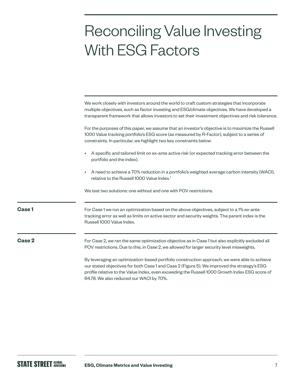### Reconciling Value Investing With ESG Factors

|        | We work closely with investors around the world to craft custom strategies that incorporate<br>multiple objectives, such as factor investing and ESG/climate objectives. We have developed a<br>transparent framework that allows investors to set their investment objectives and risk tolerance.                                       |
|--------|------------------------------------------------------------------------------------------------------------------------------------------------------------------------------------------------------------------------------------------------------------------------------------------------------------------------------------------|
|        | For the purposes of this paper, we assume that an investor's objective is to maximize the Russell<br>1000 Value tracking portfolio's ESG score (as measured by R-Factor), subject to a series of<br>constraints. In particular, we highlight two key constraints below:                                                                  |
|        | A specific and tailored limit on ex-ante active risk (or expected tracking error between the<br>$\bullet$<br>portfolio and the index).                                                                                                                                                                                                   |
|        | A need to achieve a 70% reduction in a portfolio's weighted average carbon intensity (WACI),<br>relative to the Russell 1000 Value Index. <sup>1</sup>                                                                                                                                                                                   |
|        | We test two solutions: one without and one with POV restrictions.                                                                                                                                                                                                                                                                        |
| Case 1 | For Case 1 we run an optimization based on the above objectives, subject to a 1% ex-ante<br>tracking error as well as limits on active sector and security weights. The parent index is the<br>Russell 1000 Value Index.                                                                                                                 |
| Case 2 | For Case 2, we ran the same optimization objective as in Case 1 but also explicitly excluded all<br>POV restrictions. Due to this, in Case 2, we allowed for larger security level misweights.                                                                                                                                           |
|        | By leveraging an optimization-based portfolio construction approach, we were able to achieve<br>our stated objectives for both Case 1 and Case 2 (Figure 5). We improved the strategy's ESG<br>profile relative to the Value Index, even exceeding the Russell 1000 Growth Index ESG score of<br>64.78. We also reduced our WACI by 70%. |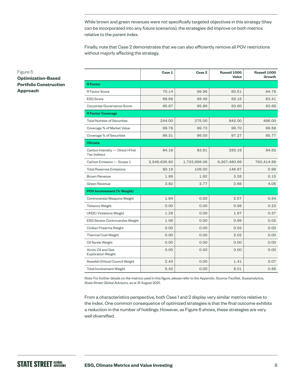While brown and green revenues were not specifically targeted objectives in this strategy (they can be incorporated into any future scenarios), the strategies did improve on both metrics relative to the parent index.

Finally, note that Case 2 demonstrates that we can also efficiently remove all POV restrictions without majorly affecting the strategy.

|                                                         | Case 1       | Case 2       | Russell 1000<br><b>Value</b> | Russell 1000<br><b>Growth</b> |
|---------------------------------------------------------|--------------|--------------|------------------------------|-------------------------------|
| <b>R</b> Factor                                         |              |              |                              |                               |
| <b>R</b> Factor Score                                   | 70.14        | 69.96        | 60.51                        | 64.78                         |
| <b>ESG Score</b>                                        | 68.69        | 68.49        | 59.15                        | 63.41                         |
| Corporate Governance Score                              | 65.67        | 65.89        | 63.60                        | 63.69                         |
| <b>R Factor Coverage</b>                                |              |              |                              |                               |
| <b>Total Number of Securities</b>                       | 244.00       | 275.00       | 842.00                       | 496.00                        |
| Coverage % of Market Value                              | 99.78        | 99.73        | 99.70                        | 99.59                         |
| Coverage % of Securities                                | 96.31        | 96.00        | 97.27                        | 95.77                         |
| <b>Climate</b>                                          |              |              |                              |                               |
| Carbon Intensity - Direct+First<br><b>Tier Indirect</b> | 84.19        | 83.91        | 283.16                       | 64.62                         |
| Carbon Emission - Scope 1                               | 2,549,635.80 | 1,733,696.06 | 6,367,480.66                 | 782,414.88                    |
| <b>Total Reserves Emissions</b>                         | 80.16        | 106.00       | 146.97                       | 0.96                          |
| <b>Brown Revenue</b>                                    | 1.99         | 1.92         | 3.26                         | 0.15                          |
| Green Revenue                                           | 3.82         | 3.77         | 2.68                         | 4.05                          |
| <b>POV Involvement (% Weight)</b>                       |              |              |                              |                               |
| Controversial Weapons Weight                            | 1.94         | 0.00         | 2.57                         | 0.54                          |
| <b>Tobacco Weight</b>                                   | 0.00         | 0.00         | 0.98                         | 0.23                          |
| <b>UNGC Violations Weight</b>                           | 1.29         | 0.00         | 1.67                         | 0.37                          |
| <b>ESG Severe Controversies Weight</b>                  | 1.06         | 0.00         | 0.99                         | 0.02                          |
| Civilian Firearms Weight                                | 0.00         | 0.00         | 0.03                         | 0.00                          |
| <b>Thermal Coal Weight</b>                              | 0.00         | 0.00         | 2.02                         | 0.00                          |
| Oil Sands Weight                                        | 0.00         | 0.00         | 0.00                         | 0.00                          |
| Arctic Oil and Gas<br><b>Exploration Weight</b>         | 0.00         | 0.00         | 0.00                         | 0.00                          |
| Swedish Ethical Council Weight                          | 2.43         | 0.00         | 1.41                         | 0.07                          |
| <b>Total Involvement Weight</b>                         | 5.43         | 0.00         | 8.01                         | 0.86                          |

Note: For further details on the metrics used in this figure, please refer to the Appendix. Source: FactSet, Sustainalytics, State Street Global Advisors, as at 31 August 2021.

From a characteristics perspective, both Case 1 and 2 display very similar metrics relative to the index. One common consequence of optimized strategies is that the final outcome exhibits a reduction in the number of holdings. However, as Figure 6 shows, these strategies are very well diversified.

#### Figure 5

#### **Optimization-Based Portfolio Construction Approach**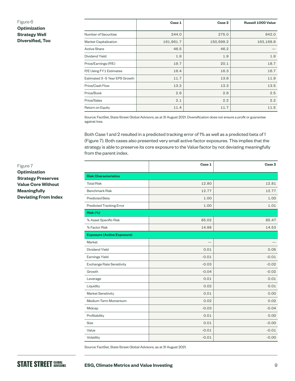#### Figure 6

**Optimization Strategy Well Diversified, Too**

|                               | Case 1    | Case 2    | <b>Russell 1000 Value</b> |
|-------------------------------|-----------|-----------|---------------------------|
| Number of Securities          | 244.0     | 275.0     | 842.0                     |
| <b>Market Capitalization</b>  | 161,961.7 | 150,599.2 | 163,168.8                 |
| <b>Active Share</b>           | 46.5      | 46.2      |                           |
| <b>Dividend Yield</b>         | 1.9       | 1.9       | 1.9                       |
| Price/Earnings (P/E)          | 19.7      | 20.1      | 18.7                      |
| P/E Using FY1 Estimates       | 16.4      | 16.3      | 16.7                      |
| Estimated 3-5 Year EPS Growth | 11.7      | 13.6      | 11.9                      |
| Price/Cash Flow               | 13.2      | 13.3      | 13.5                      |
| Price/Book                    | 2.6       | 2.6       | 2.5                       |
| Price/Sales                   | 2.1       | 2.2       | 2.2                       |
| Return on Equity              | 11.4      | 11.7      | 11.5                      |

Source: FactSet, State Street Global Advisors, as at 31 August 2021. Diversification does not ensure a profit or guarantee against loss.

Both Case 1 and 2 resulted in a predicted tracking error of 1% as well as a predicted beta of 1 (Figure 7). Both cases also presented very small active factor exposures. This implies that the strategy is able to preserve its core exposure to the Value factor by not deviating meaningfully from the parent index.

|                                   | Case 1  | Case 2  |
|-----------------------------------|---------|---------|
| <b>Risk Characteristics</b>       |         |         |
| <b>Total Risk</b>                 | 12.80   | 12.81   |
| <b>Benchmark Risk</b>             | 12.77   | 12.77   |
| <b>Predicted Beta</b>             | 1.00    | 1.00    |
| Predicted Tracking Error          | 1.00    | 1.01    |
| <b>Risk (%)</b>                   |         |         |
| % Asset Specific Risk             | 85.02   | 85.47   |
| % Factor Risk                     | 14.98   | 14.53   |
| <b>Exposure (Active Exposure)</b> |         |         |
| Market                            |         |         |
| Dividend Yield                    | 0.01    | 0.05    |
| <b>Earnings Yield</b>             | $-0.01$ | $-0.01$ |
| Exchange Rate Sensitivity         | $-0.03$ | $-0.02$ |
| Growth                            | $-0.04$ | $-0.02$ |
| Leverage                          | 0.01    | 0.01    |
| Liquidity                         | 0.02    | 0.01    |
| Market Sensitivity                | 0.01    | 0.00    |
| Medium-Term Momentum              | 0.02    | 0.02    |
| Midcap                            | $-0.03$ | $-0.04$ |
| Profitability                     | 0.01    | 0.00    |
| <b>Size</b>                       | 0.01    | $-0.00$ |
| Value                             | $-0.01$ | $-0.01$ |
| Volatility                        | $-0.01$ | $-0.00$ |

Source: FactSet, State Street Global Advisors, as at 31 August 2021.

Figure 7

**Optimization Strategy Preserves Value Core Without Meaningfully Deviating From Index**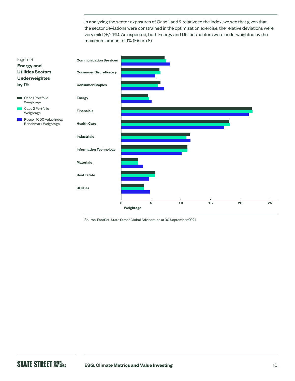In analyzing the sector exposures of Case 1 and 2 relative to the index, we see that given that the sector deviations were constrained in the optimization exercise, the relative deviations were very mild (+/- 1%). As expected, both Energy and Utilities sectors were underweighted by the maximum amount of 1% (Figure 8).



Source: FactSet, State Street Global Advisors, as at 30 September 2021.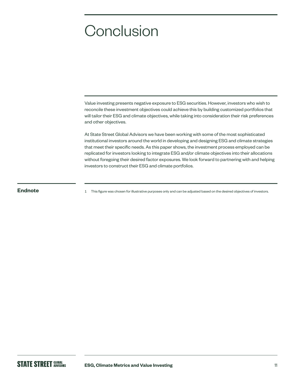### **Conclusion**

Value investing presents negative exposure to ESG securities. However, investors who wish to reconcile these investment objectives could achieve this by building customized portfolios that will tailor their ESG and climate objectives, while taking into consideration their risk preferences and other objectives.

At State Street Global Advisors we have been working with some of the most sophisticated institutional investors around the world in developing and designing ESG and climate strategies that meet their specific needs. As this paper shows, the investment process employed can be replicated for investors looking to integrate ESG and/or climate objectives into their allocations without foregoing their desired factor exposures. We look forward to partnering with and helping investors to construct their ESG and climate portfolios.

**Endnote** 1 This figure was chosen for illustrative purposes only and can be adjusted based on the desired objectives of investors.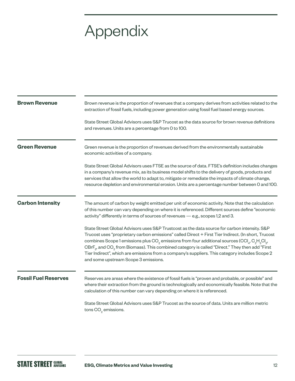## Appendix

| <b>Brown Revenue</b>        | Brown revenue is the proportion of revenues that a company derives from activities related to the<br>extraction of fossil fuels, including power generation using fossil fuel based energy sources.                                                                                                                                                                                                                                                                                                                                                                                                                                   |
|-----------------------------|---------------------------------------------------------------------------------------------------------------------------------------------------------------------------------------------------------------------------------------------------------------------------------------------------------------------------------------------------------------------------------------------------------------------------------------------------------------------------------------------------------------------------------------------------------------------------------------------------------------------------------------|
|                             | State Street Global Advisors uses S&P Trucost as the data source for brown revenue definitions<br>and revenues. Units are a percentage from 0 to 100.                                                                                                                                                                                                                                                                                                                                                                                                                                                                                 |
| <b>Green Revenue</b>        | Green revenue is the proportion of revenues derived from the environmentally sustainable<br>economic activities of a company.                                                                                                                                                                                                                                                                                                                                                                                                                                                                                                         |
|                             | State Street Global Advisors uses FTSE as the source of data. FTSE's definition includes changes<br>in a company's revenue mix, as its business model shifts to the delivery of goods, products and<br>services that allow the world to adapt to, mitigate or remediate the impacts of climate change,<br>resource depletion and environmental erosion. Units are a percentage number between 0 and 100.                                                                                                                                                                                                                              |
| <b>Carbon Intensity</b>     | The amount of carbon by weight emitted per unit of economic activity. Note that the calculation<br>of this number can vary depending on where it is referenced. Different sources define "economic<br>activity" differently in terms of sources of revenues - e.g., scopes 1,2 and 3.                                                                                                                                                                                                                                                                                                                                                 |
|                             | State Street Global Advisors uses S&P Trustcost as the data source for carbon intensity. S&P<br>Trucost uses "proprietary carbon emissions" called Direct + First Tier Indirect. (In short, Trucost<br>combines Scope 1 emissions plus CO <sub>2</sub> emissions from four additional sources (CCI <sub>4</sub> , C <sub>2</sub> H <sub>3</sub> CI <sub>3</sub> ,<br>CBrF <sub>3</sub> , and CO <sub>2</sub> from Biomass). This combined category is called "Direct." They then add "First<br>Tier Indirect", which are emissions from a company's suppliers. This category includes Scope 2<br>and some upstream Scope 3 emissions. |
| <b>Fossil Fuel Reserves</b> | Reserves are areas where the existence of fossil fuels is "proven and probable, or possible" and<br>where their extraction from the ground is technologically and economically feasible. Note that the<br>calculation of this number can vary depending on where it is referenced.                                                                                                                                                                                                                                                                                                                                                    |
|                             | State Street Global Advisors uses S&P Trucost as the source of data. Units are million metric<br>tons CO <sub>2</sub> emissions.                                                                                                                                                                                                                                                                                                                                                                                                                                                                                                      |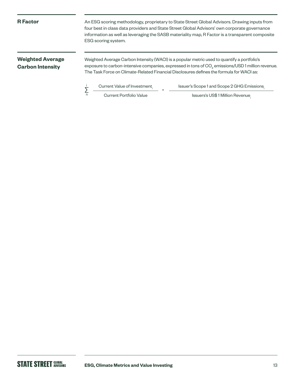#### **R Factor**

An ESG scoring methodology, proprietary to State Street Global Advisors. Drawing inputs from four best in class data providers and State Street Global Advisors' own corporate governance information as well as leveraging the SASB materiality map, R Factor is a transparent composite ESG scoring system.

#### **Weighted Average Carbon Intensity**

Weighted Average Carbon Intensity (WACI) is a popular metric used to quantify a portfolio's exposure to carbon-intensive companies, expressed in tons of CO $_{_2}$  emissions/USD 1 million revenue. The Task Force on Climate-Related Financial Disclosures defines the formula for WACI as:

**∑** <u>Current Value of Investment<sub>i</sub> \*</del></u>

Issuer's Scope 1 and Scope 2 GHG Emissions.

Current Portfolio Value

i n

Issuers's US\$1 Million Revenue,